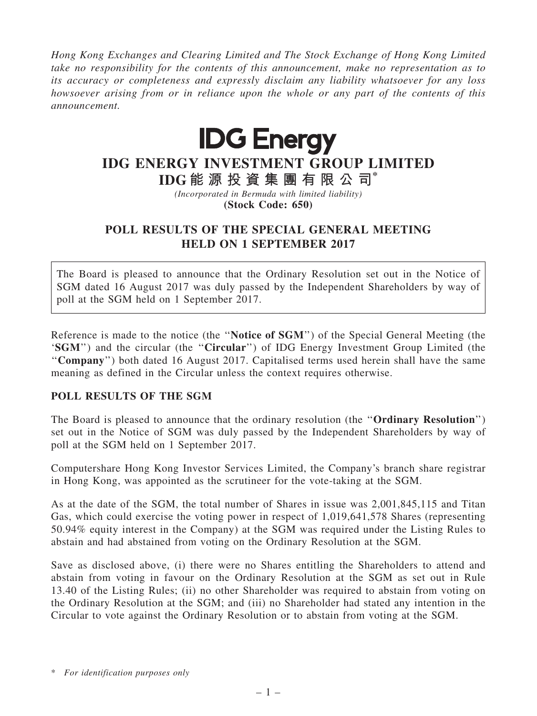Hong Kong Exchanges and Clearing Limited and The Stock Exchange of Hong Kong Limited take no responsibility for the contents of this announcement, make no representation as to its accuracy or completeness and expressly disclaim any liability whatsoever for any loss howsoever arising from or in reliance upon the whole or any part of the contents of this announcement.



## IDG ENERGY INVESTMENT GROUP LIMITED

IDG 能 源 投 資 集 團 有 限 公 司\* (Incorporated in Bermuda with limited liability)

(Stock Code: 650)

## POLL RESULTS OF THE SPECIAL GENERAL MEETING HELD ON 1 SEPTEMBER 2017

The Board is pleased to announce that the Ordinary Resolution set out in the Notice of SGM dated 16 August 2017 was duly passed by the Independent Shareholders by way of poll at the SGM held on 1 September 2017.

Reference is made to the notice (the ''Notice of SGM'') of the Special General Meeting (the 'SGM") and the circular (the "Circular") of IDG Energy Investment Group Limited (the "Company") both dated 16 August 2017. Capitalised terms used herein shall have the same meaning as defined in the Circular unless the context requires otherwise.

## POLL RESULTS OF THE SGM

The Board is pleased to announce that the ordinary resolution (the ''Ordinary Resolution'') set out in the Notice of SGM was duly passed by the Independent Shareholders by way of poll at the SGM held on 1 September 2017.

Computershare Hong Kong Investor Services Limited, the Company's branch share registrar in Hong Kong, was appointed as the scrutineer for the vote-taking at the SGM.

As at the date of the SGM, the total number of Shares in issue was 2,001,845,115 and Titan Gas, which could exercise the voting power in respect of 1,019,641,578 Shares (representing 50.94% equity interest in the Company) at the SGM was required under the Listing Rules to abstain and had abstained from voting on the Ordinary Resolution at the SGM.

Save as disclosed above, (i) there were no Shares entitling the Shareholders to attend and abstain from voting in favour on the Ordinary Resolution at the SGM as set out in Rule 13.40 of the Listing Rules; (ii) no other Shareholder was required to abstain from voting on the Ordinary Resolution at the SGM; and (iii) no Shareholder had stated any intention in the Circular to vote against the Ordinary Resolution or to abstain from voting at the SGM.

\* For identification purposes only